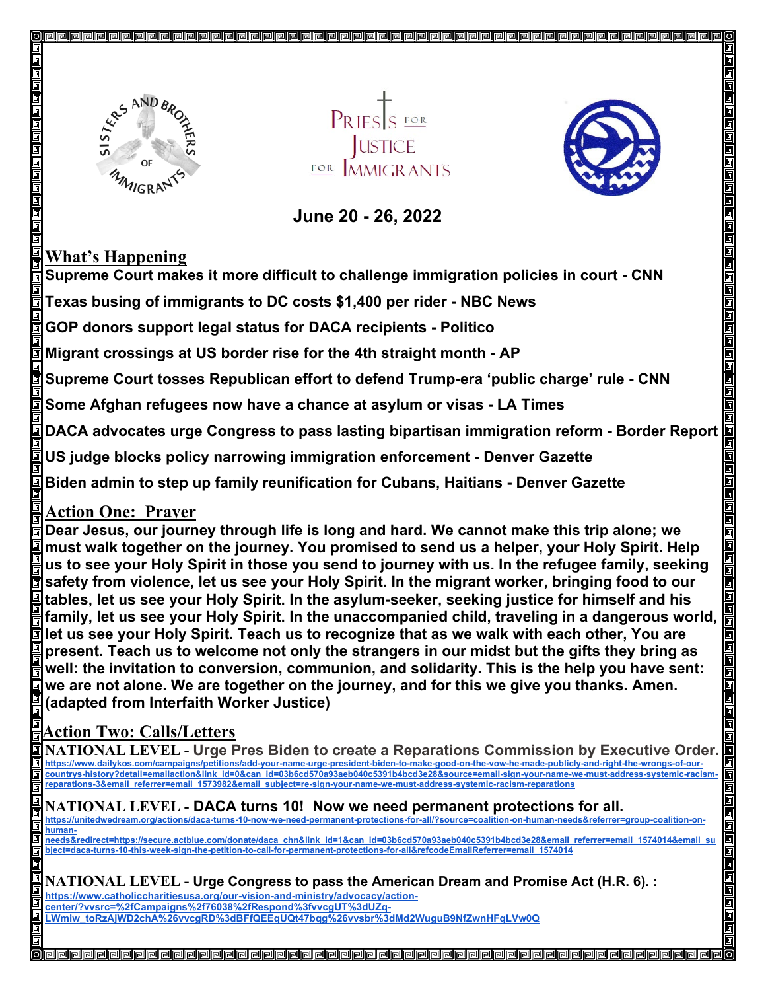

**USTICE** FOR MMICRANTS



#### **June 20 - 26, 2022**

#### **What's Happening**

**Supreme Court makes it more difficult to challenge immigration policies in court - CNN**

**Texas busing of immigrants to DC costs \$1,400 per rider - NBC News**

**GOP donors support legal status for DACA recipients - Politico**

**Migrant crossings at US border rise for the 4th straight month - AP**

**Supreme Court tosses Republican effort to defend Trump-era 'public charge' rule - CNN**

**Some Afghan refugees now have a chance at asylum or visas - LA Times** 

**DACA advocates urge Congress to pass lasting bipartisan immigration reform - Border Report**

**US judge blocks policy narrowing immigration enforcement - Denver Gazette**

**Biden admin to step up family reunification for Cubans, Haitians - Denver Gazette**

## **Action One: Prayer**

**Dear Jesus, our journey through life is long and hard. We cannot make this trip alone; we must walk together on the journey. You promised to send us a helper, your Holy Spirit. Help us to see your Holy Spirit in those you send to journey with us. In the refugee family, seeking safety from violence, let us see your Holy Spirit. In the migrant worker, bringing food to our tables, let us see your Holy Spirit. In the asylum-seeker, seeking justice for himself and his family, let us see your Holy Spirit. In the unaccompanied child, traveling in a dangerous world, let us see your Holy Spirit. Teach us to recognize that as we walk with each other, You are present. Teach us to welcome not only the strangers in our midst but the gifts they bring as well: the invitation to conversion, communion, and solidarity. This is the help you have sent: we are not alone. We are together on the journey, and for this we give you thanks. Amen. (adapted from Interfaith Worker Justice)**

## **Action Two: Calls/Letters**

**NATIONAL LEVEL - Urge Pres Biden to create a Reparations Commission by Executive Order. [https://www.dailykos.com/campaigns/petitions/add-your-name-urge-president-biden-to-make-good-on-the-vow-he-made-publicly-and-right-the-wrongs-of-our](https://www.dailykos.com/campaigns/petitions/add-your-name-urge-president-biden-to-make-good-on-the-vow-he-made-publicly-and-right-the-wrongs-of-our-countrys-history?detail=emailaction&link_id=0&can_id=03b6cd570a93aeb040c5391b4bcd3e28&source=email-sign-your-name-we-must-address-systemic-racism-reparations-3&email_referrer=email_1573982&email_subject=re-sign-your-name-we-must-address-systemic-racism-reparations)[countrys-history?detail=emailaction&link\\_id=0&can\\_id=03b6cd570a93aeb040c5391b4bcd3e28&source=email-sign-your-name-we-must-address-systemic-racism](https://www.dailykos.com/campaigns/petitions/add-your-name-urge-president-biden-to-make-good-on-the-vow-he-made-publicly-and-right-the-wrongs-of-our-countrys-history?detail=emailaction&link_id=0&can_id=03b6cd570a93aeb040c5391b4bcd3e28&source=email-sign-your-name-we-must-address-systemic-racism-reparations-3&email_referrer=email_1573982&email_subject=re-sign-your-name-we-must-address-systemic-racism-reparations)[reparations-3&email\\_referrer=email\\_1573982&email\\_subject=re-sign-your-name-we-must-address-systemic-racism-reparations](https://www.dailykos.com/campaigns/petitions/add-your-name-urge-president-biden-to-make-good-on-the-vow-he-made-publicly-and-right-the-wrongs-of-our-countrys-history?detail=emailaction&link_id=0&can_id=03b6cd570a93aeb040c5391b4bcd3e28&source=email-sign-your-name-we-must-address-systemic-racism-reparations-3&email_referrer=email_1573982&email_subject=re-sign-your-name-we-must-address-systemic-racism-reparations)**

# **NATIONAL LEVEL - DACA turns 10! Now we need permanent protections for all.**

**[https://unitedwedream.org/actions/daca-turns-10-now-we-need-permanent-protections-for-all/?source=coalition-on-human-needs&referrer=group-coalition-on](https://unitedwedream.org/actions/daca-turns-10-now-we-need-permanent-protections-for-all/?source=coalition-on-human-needs&referrer=group-coalition-on-human-needs&redirect=https://secure.actblue.com/donate/daca_chn&link_id=1&can_id=03b6cd570a93aeb040c5391b4bcd3e28&email_referrer=email_1574014&email_subject=daca-turns-10-this-week-sign-the-petition-to-call-for-permanent-protections-for-all&refcodeEmailReferrer=email_1574014)human-**

**[needs&redirect=https://secure.actblue.com/donate/daca\\_chn&link\\_id=1&can\\_id=03b6cd570a93aeb040c5391b4bcd3e28&email\\_referrer=email\\_1574014&email\\_su](https://unitedwedream.org/actions/daca-turns-10-now-we-need-permanent-protections-for-all/?source=coalition-on-human-needs&referrer=group-coalition-on-human-needs&redirect=https://secure.actblue.com/donate/daca_chn&link_id=1&can_id=03b6cd570a93aeb040c5391b4bcd3e28&email_referrer=email_1574014&email_subject=daca-turns-10-this-week-sign-the-petition-to-call-for-permanent-protections-for-all&refcodeEmailReferrer=email_1574014) [bject=daca-turns-10-this-week-sign-the-petition-to-call-for-permanent-protections-for-all&refcodeEmailReferrer=email\\_1574014](https://unitedwedream.org/actions/daca-turns-10-now-we-need-permanent-protections-for-all/?source=coalition-on-human-needs&referrer=group-coalition-on-human-needs&redirect=https://secure.actblue.com/donate/daca_chn&link_id=1&can_id=03b6cd570a93aeb040c5391b4bcd3e28&email_referrer=email_1574014&email_subject=daca-turns-10-this-week-sign-the-petition-to-call-for-permanent-protections-for-all&refcodeEmailReferrer=email_1574014)**

**NATIONAL LEVEL - Urge Congress to pass the American Dream and Promise Act (H.R. 6). : [https://www.catholiccharitiesusa.org/our-vision-and-ministry/advocacy/action](https://www.catholiccharitiesusa.org/our-vision-and-ministry/advocacy/action-center/?vvsrc=%2fCampaigns%2f76038%2fRespond%3fvvcgUT%3dUZq-LWmiw_toRzAjWD2chA%26vvcgRD%3dBFfQEEqUQt47bqg%26vvsbr%3dMd2WuguB9NfZwnHFqLVw0Q)[center/?vvsrc=%2fCampaigns%2f76038%2fRespond%3fvvcgUT%3dUZq-](https://www.catholiccharitiesusa.org/our-vision-and-ministry/advocacy/action-center/?vvsrc=%2fCampaigns%2f76038%2fRespond%3fvvcgUT%3dUZq-LWmiw_toRzAjWD2chA%26vvcgRD%3dBFfQEEqUQt47bqg%26vvsbr%3dMd2WuguB9NfZwnHFqLVw0Q)[LWmiw\\_toRzAjWD2chA%26vvcgRD%3dBFfQEEqUQt47bqg%26vvsbr%3dMd2WuguB9NfZwnHFqLVw0Q](https://www.catholiccharitiesusa.org/our-vision-and-ministry/advocacy/action-center/?vvsrc=%2fCampaigns%2f76038%2fRespond%3fvvcgUT%3dUZq-LWmiw_toRzAjWD2chA%26vvcgRD%3dBFfQEEqUQt47bqg%26vvsbr%3dMd2WuguB9NfZwnHFqLVw0Q)**